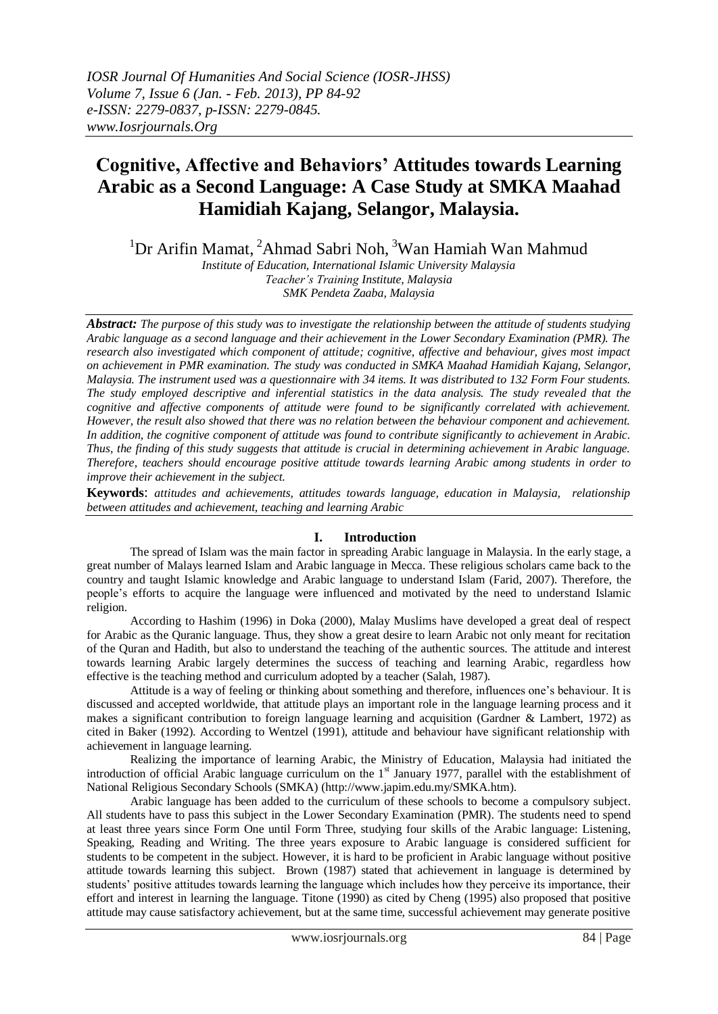# **Cognitive, Affective and Behaviors' Attitudes towards Learning Arabic as a Second Language: A Case Study at SMKA Maahad Hamidiah Kajang, Selangor, Malaysia.**

<sup>1</sup>Dr Arifin Mamat, <sup>2</sup>Ahmad Sabri Noh, <sup>3</sup>Wan Hamiah Wan Mahmud

*Institute of Education, International Islamic University Malaysia Teacher's Training Institute, Malaysia SMK Pendeta Zaaba, Malaysia*

*Abstract: The purpose of this study was to investigate the relationship between the attitude of students studying Arabic language as a second language and their achievement in the Lower Secondary Examination (PMR). The research also investigated which component of attitude; cognitive, affective and behaviour, gives most impact on achievement in PMR examination. The study was conducted in SMKA Maahad Hamidiah Kajang, Selangor, Malaysia. The instrument used was a questionnaire with 34 items. It was distributed to 132 Form Four students. The study employed descriptive and inferential statistics in the data analysis. The study revealed that the cognitive and affective components of attitude were found to be significantly correlated with achievement. However, the result also showed that there was no relation between the behaviour component and achievement. In addition, the cognitive component of attitude was found to contribute significantly to achievement in Arabic. Thus, the finding of this study suggests that attitude is crucial in determining achievement in Arabic language. Therefore, teachers should encourage positive attitude towards learning Arabic among students in order to improve their achievement in the subject.* 

**Keywords**: *attitudes and achievements, attitudes towards language, education in Malaysia, relationship between attitudes and achievement, teaching and learning Arabic*

## **I. Introduction**

The spread of Islam was the main factor in spreading Arabic language in Malaysia. In the early stage, a great number of Malays learned Islam and Arabic language in Mecca. These religious scholars came back to the country and taught Islamic knowledge and Arabic language to understand Islam (Farid, 2007). Therefore, the people"s efforts to acquire the language were influenced and motivated by the need to understand Islamic religion.

According to Hashim (1996) in Doka (2000), Malay Muslims have developed a great deal of respect for Arabic as the Quranic language. Thus, they show a great desire to learn Arabic not only meant for recitation of the Quran and Hadith, but also to understand the teaching of the authentic sources. The attitude and interest towards learning Arabic largely determines the success of teaching and learning Arabic, regardless how effective is the teaching method and curriculum adopted by a teacher (Salah, 1987).

Attitude is a way of feeling or thinking about something and therefore, influences one"s behaviour. It is discussed and accepted worldwide, that attitude plays an important role in the language learning process and it makes a significant contribution to foreign language learning and acquisition (Gardner & Lambert, 1972) as cited in Baker (1992). According to Wentzel (1991), attitude and behaviour have significant relationship with achievement in language learning.

Realizing the importance of learning Arabic, the Ministry of Education, Malaysia had initiated the introduction of official Arabic language curriculum on the  $1<sup>st</sup>$  January 1977, parallel with the establishment of National Religious Secondary Schools (SMKA) (http://www.japim.edu.my/SMKA.htm).

Arabic language has been added to the curriculum of these schools to become a compulsory subject. All students have to pass this subject in the Lower Secondary Examination (PMR). The students need to spend at least three years since Form One until Form Three, studying four skills of the Arabic language: Listening, Speaking, Reading and Writing. The three years exposure to Arabic language is considered sufficient for students to be competent in the subject. However, it is hard to be proficient in Arabic language without positive attitude towards learning this subject. Brown (1987) stated that achievement in language is determined by students' positive attitudes towards learning the language which includes how they perceive its importance, their effort and interest in learning the language. Titone (1990) as cited by Cheng (1995) also proposed that positive attitude may cause satisfactory achievement, but at the same time, successful achievement may generate positive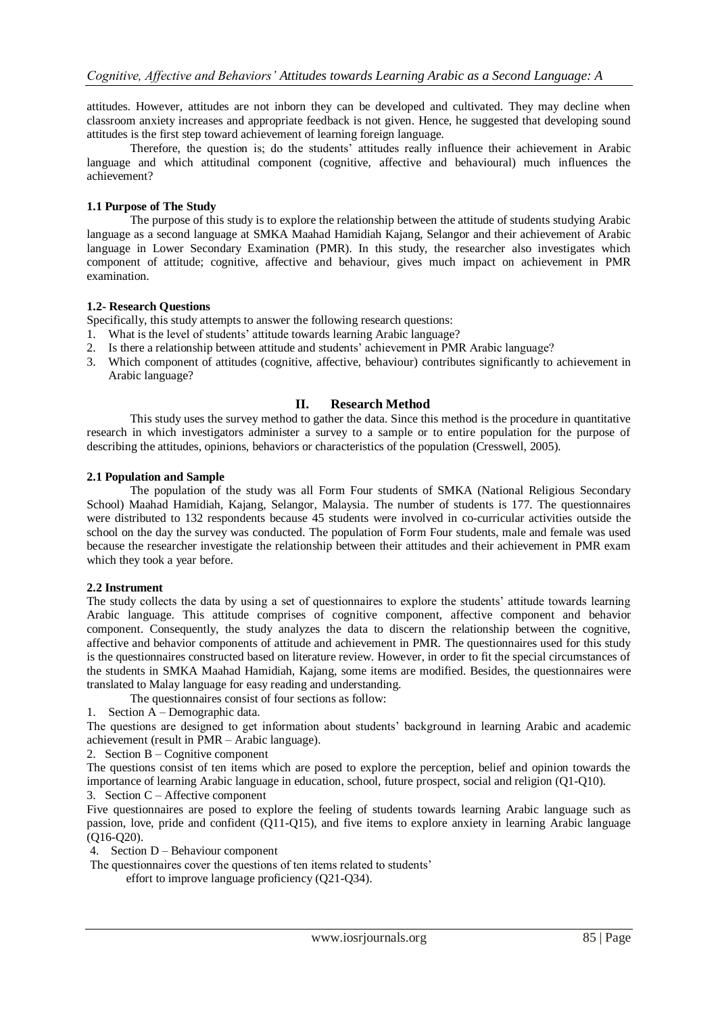attitudes. However, attitudes are not inborn they can be developed and cultivated. They may decline when classroom anxiety increases and appropriate feedback is not given. Hence, he suggested that developing sound attitudes is the first step toward achievement of learning foreign language.

Therefore, the question is; do the students" attitudes really influence their achievement in Arabic language and which attitudinal component (cognitive, affective and behavioural) much influences the achievement?

## **1.1 Purpose of The Study**

The purpose of this study is to explore the relationship between the attitude of students studying Arabic language as a second language at SMKA Maahad Hamidiah Kajang, Selangor and their achievement of Arabic language in Lower Secondary Examination (PMR). In this study, the researcher also investigates which component of attitude; cognitive, affective and behaviour, gives much impact on achievement in PMR examination.

#### **1.2- Research Questions**

Specifically, this study attempts to answer the following research questions:

- 1. What is the level of students" attitude towards learning Arabic language?
- 2. Is there a relationship between attitude and students" achievement in PMR Arabic language?
- 3. Which component of attitudes (cognitive, affective, behaviour) contributes significantly to achievement in Arabic language?

#### **II. Research Method**

This study uses the survey method to gather the data. Since this method is the procedure in quantitative research in which investigators administer a survey to a sample or to entire population for the purpose of describing the attitudes, opinions, behaviors or characteristics of the population (Cresswell, 2005).

#### **2.1 Population and Sample**

The population of the study was all Form Four students of SMKA (National Religious Secondary School) Maahad Hamidiah, Kajang, Selangor, Malaysia. The number of students is 177. The questionnaires were distributed to 132 respondents because 45 students were involved in co-curricular activities outside the school on the day the survey was conducted. The population of Form Four students, male and female was used because the researcher investigate the relationship between their attitudes and their achievement in PMR exam which they took a year before.

#### **2.2 Instrument**

The study collects the data by using a set of questionnaires to explore the students" attitude towards learning Arabic language. This attitude comprises of cognitive component, affective component and behavior component. Consequently, the study analyzes the data to discern the relationship between the cognitive, affective and behavior components of attitude and achievement in PMR. The questionnaires used for this study is the questionnaires constructed based on literature review. However, in order to fit the special circumstances of the students in SMKA Maahad Hamidiah, Kajang, some items are modified. Besides, the questionnaires were translated to Malay language for easy reading and understanding.

The questionnaires consist of four sections as follow:

1. Section A – Demographic data.

The questions are designed to get information about students" background in learning Arabic and academic achievement (result in PMR – Arabic language).

2. Section B – Cognitive component

The questions consist of ten items which are posed to explore the perception, belief and opinion towards the importance of learning Arabic language in education, school, future prospect, social and religion (Q1-Q10).

3. Section C – Affective component

Five questionnaires are posed to explore the feeling of students towards learning Arabic language such as passion, love, pride and confident (Q11-Q15), and five items to explore anxiety in learning Arabic language (Q16-Q20).

4. Section D – Behaviour component

The questionnaires cover the questions of ten items related to students' effort to improve language proficiency (Q21-Q34).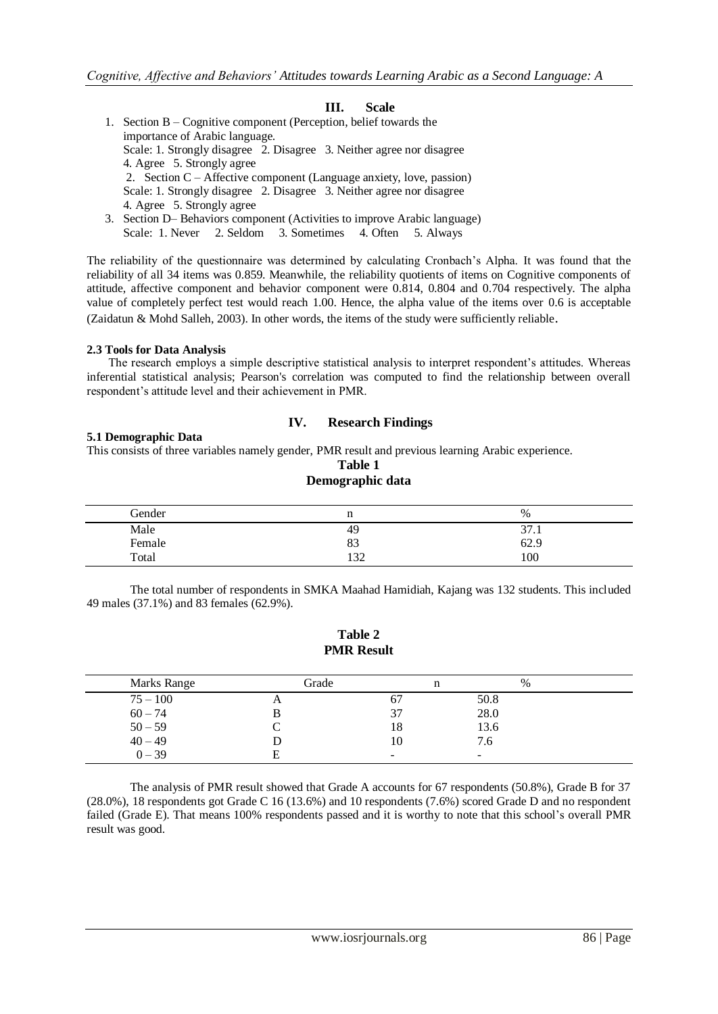## **III. Scale**

 1. Section B – Cognitive component (Perception, belief towards the importance of Arabic language. Scale: 1. Strongly disagree 2. Disagree 3. Neither agree nor disagree 4. Agree 5. Strongly agree 2. Section C – Affective component (Language anxiety, love, passion) Scale: 1. Strongly disagree 2. Disagree 3. Neither agree nor disagree 4. Agree 5. Strongly agree 3. Section D– Behaviors component (Activities to improve Arabic language) Scale: 1. Never 2. Seldom 3. Sometimes 4. Often 5. Always

The reliability of the questionnaire was determined by calculating Cronbach"s Alpha. It was found that the reliability of all 34 items was 0.859. Meanwhile, the reliability quotients of items on Cognitive components of attitude, affective component and behavior component were 0.814, 0.804 and 0.704 respectively. The alpha value of completely perfect test would reach 1.00. Hence, the alpha value of the items over 0.6 is acceptable (Zaidatun & Mohd Salleh, 2003). In other words, the items of the study were sufficiently reliable.

#### **2.3 Tools for Data Analysis**

The research employs a simple descriptive statistical analysis to interpret respondent's attitudes. Whereas inferential statistical analysis; Pearson's correlation was computed to find the relationship between overall respondent"s attitude level and their achievement in PMR.

#### **IV. Research Findings**

## **5.1 Demographic Data**

This consists of three variables namely gender, PMR result and previous learning Arabic experience.

## **Table 1 Demographic data**

| Gender |     | $\%$           |
|--------|-----|----------------|
| Male   | 49  | $\sim$<br>31.1 |
| Female | 83  | 62.9           |
| Total  | 122 | 100            |

The total number of respondents in SMKA Maahad Hamidiah, Kajang was 132 students. This included 49 males (37.1%) and 83 females (62.9%).

#### **Table 2 PMR Result**

| Marks Range | Grade    |          | $\%$                     |  |
|-------------|----------|----------|--------------------------|--|
| $75 - 100$  | $\Delta$ | $\sigma$ | 50.8                     |  |
| $60 - 74$   |          | . ک      | 28.0                     |  |
| $50 - 59$   |          | 18       | 13.6                     |  |
| $40 - 49$   |          | 10       | 7.6                      |  |
| $0 - 39$    | Ħ,       | -        | $\overline{\phantom{a}}$ |  |

The analysis of PMR result showed that Grade A accounts for 67 respondents (50.8%), Grade B for 37 (28.0%), 18 respondents got Grade C 16 (13.6%) and 10 respondents (7.6%) scored Grade D and no respondent failed (Grade E). That means 100% respondents passed and it is worthy to note that this school"s overall PMR result was good.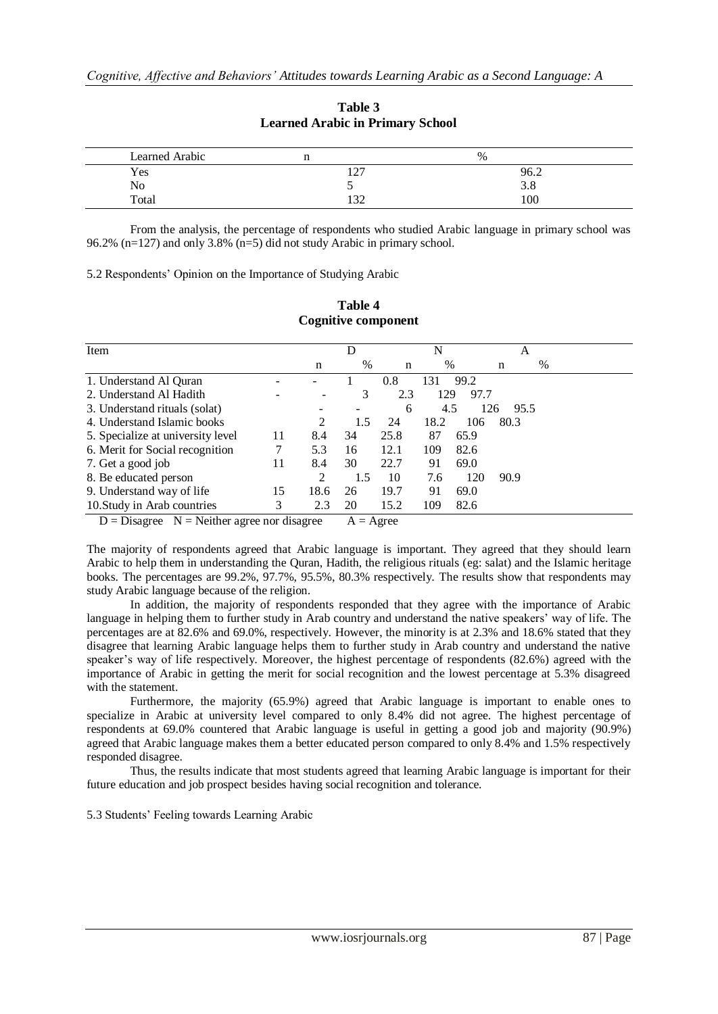| Learned Arabic |                              | %    |  |
|----------------|------------------------------|------|--|
| Yes            | $1 \cap 7$<br>$\overline{1}$ | 96.2 |  |
| No             |                              | 3.0  |  |
| Total          | $\overline{\phantom{a}}$     | 100  |  |

**Table 3 Learned Arabic in Primary School**

From the analysis, the percentage of respondents who studied Arabic language in primary school was 96.2% (n=127) and only 3.8% (n=5) did not study Arabic in primary school.

5.2 Respondents" Opinion on the Importance of Studying Arabic

| Item                              |    |      | D   |      | N    |      |      | A    |   |
|-----------------------------------|----|------|-----|------|------|------|------|------|---|
|                                   |    | n    | %   | n    | $\%$ |      | n    |      | % |
| 1. Understand Al Quran            |    |      |     | 0.8  | 131  | 99.2 |      |      |   |
| 2. Understand Al Hadith           |    | -    | 3   | 2.3  | 129  | 97.7 |      |      |   |
| 3. Understand rituals (solat)     |    |      |     | 6    | 4.5  |      | 126  | 95.5 |   |
| 4. Understand Islamic books       |    | 2    | 1.5 | 24   | 18.2 | 106  | 80.3 |      |   |
| 5. Specialize at university level | 11 | 8.4  | 34  | 25.8 | 87   | 65.9 |      |      |   |
| 6. Merit for Social recognition   |    | 5.3  | 16  | 12.1 | 109  | 82.6 |      |      |   |
| 7. Get a good job                 | 11 | 8.4  | 30  | 22.7 | 91   | 69.0 |      |      |   |
| 8. Be educated person             |    | 2    | 1.5 | 10   | 7.6  | 120  | 90.9 |      |   |
| 9. Understand way of life         | 15 | 18.6 | 26  | 19.7 | 91   | 69.0 |      |      |   |
| 10. Study in Arab countries       | 3  | 2.3  | 20  | 15.2 | 109  | 82.6 |      |      |   |

## **Table 4 Cognitive component**

 $D = Disagree \tN = Neither agree nor disagree \tA = Agree$ 

The majority of respondents agreed that Arabic language is important. They agreed that they should learn Arabic to help them in understanding the Quran, Hadith, the religious rituals (eg: salat) and the Islamic heritage books. The percentages are 99.2%, 97.7%, 95.5%, 80.3% respectively. The results show that respondents may study Arabic language because of the religion.

In addition, the majority of respondents responded that they agree with the importance of Arabic language in helping them to further study in Arab country and understand the native speakers' way of life. The percentages are at 82.6% and 69.0%, respectively. However, the minority is at 2.3% and 18.6% stated that they disagree that learning Arabic language helps them to further study in Arab country and understand the native speaker"s way of life respectively. Moreover, the highest percentage of respondents (82.6%) agreed with the importance of Arabic in getting the merit for social recognition and the lowest percentage at 5.3% disagreed with the statement.

Furthermore, the majority (65.9%) agreed that Arabic language is important to enable ones to specialize in Arabic at university level compared to only 8.4% did not agree. The highest percentage of respondents at 69.0% countered that Arabic language is useful in getting a good job and majority (90.9%) agreed that Arabic language makes them a better educated person compared to only 8.4% and 1.5% respectively responded disagree.

Thus, the results indicate that most students agreed that learning Arabic language is important for their future education and job prospect besides having social recognition and tolerance.

5.3 Students" Feeling towards Learning Arabic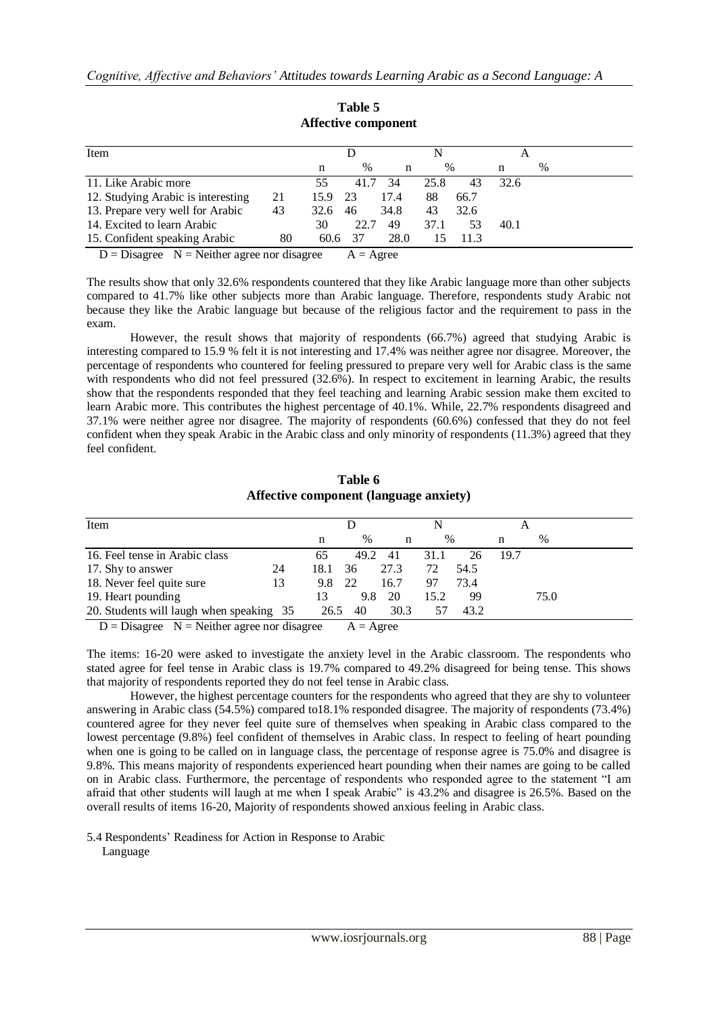| Item                                            |    |      |                     |      |      |      |      |   |
|-------------------------------------------------|----|------|---------------------|------|------|------|------|---|
|                                                 |    | n    | $\%$                | n    | $\%$ |      | n    | % |
| 11. Like Arabic more                            |    | 55   | 41.7                | 34   | 25.8 | 43   | 32.6 |   |
| 12. Studying Arabic is interesting              | 21 | 15.9 | -23                 | 17.4 | 88   | 66.7 |      |   |
| 13. Prepare very well for Arabic                | 43 | 32.6 | 46                  | 34.8 | 43   | 32.6 |      |   |
| 14. Excited to learn Arabic                     |    | 30   | 22.7                | 49   | 37.1 | 53   | 40.1 |   |
| 15. Confident speaking Arabic                   | 80 | 60.6 | 37                  | 28.0 | 15   | 11.3 |      |   |
| $D = Disagree \ N = Neither agree nor disagree$ |    |      | $A = \text{A}$ gree |      |      |      |      |   |

**Table 5 Affective component**

The results show that only 32.6% respondents countered that they like Arabic language more than other subjects compared to 41.7% like other subjects more than Arabic language. Therefore, respondents study Arabic not because they like the Arabic language but because of the religious factor and the requirement to pass in the exam.

However, the result shows that majority of respondents (66.7%) agreed that studying Arabic is interesting compared to 15.9 % felt it is not interesting and 17.4% was neither agree nor disagree. Moreover, the percentage of respondents who countered for feeling pressured to prepare very well for Arabic class is the same with respondents who did not feel pressured (32.6%). In respect to excitement in learning Arabic, the results show that the respondents responded that they feel teaching and learning Arabic session make them excited to learn Arabic more. This contributes the highest percentage of 40.1%. While, 22.7% respondents disagreed and 37.1% were neither agree nor disagree. The majority of respondents (60.6%) confessed that they do not feel confident when they speak Arabic in the Arabic class and only minority of respondents (11.3%) agreed that they feel confident.

## **Table 6 Affective component (language anxiety)**

|    | n                                                   | $\%$ | n                        | $\frac{0}{0}$ |      |      |               |
|----|-----------------------------------------------------|------|--------------------------|---------------|------|------|---------------|
|    |                                                     |      |                          |               |      | n    | $\frac{0}{0}$ |
|    | 65                                                  | 49.2 | -41                      | 31.1          | 26   | 19.7 |               |
| 24 | 18.1                                                | 36   | 27.3                     | 72            | 54.5 |      |               |
| 13 | 9.8                                                 |      | 16.7                     | 97            | 73.4 |      |               |
|    | 13                                                  |      | -20                      | 15.2          | 99   |      | 75.0          |
|    |                                                     | 40   | 30.3                     | 57            | 43.2 |      |               |
|    | 20. Students will laugh when speaking 35<br>$\cdot$ |      | - 22<br>26.5<br>$\cdots$ | 9.8           |      |      |               |

 $D = Disagree \tN = Neither agree nor disagree \tA = Agee$ 

The items: 16-20 were asked to investigate the anxiety level in the Arabic classroom. The respondents who stated agree for feel tense in Arabic class is 19.7% compared to 49.2% disagreed for being tense. This shows that majority of respondents reported they do not feel tense in Arabic class.

However, the highest percentage counters for the respondents who agreed that they are shy to volunteer answering in Arabic class (54.5%) compared to18.1% responded disagree. The majority of respondents (73.4%) countered agree for they never feel quite sure of themselves when speaking in Arabic class compared to the lowest percentage (9.8%) feel confident of themselves in Arabic class. In respect to feeling of heart pounding when one is going to be called on in language class, the percentage of response agree is 75.0% and disagree is 9.8%. This means majority of respondents experienced heart pounding when their names are going to be called on in Arabic class. Furthermore, the percentage of respondents who responded agree to the statement "I am afraid that other students will laugh at me when I speak Arabic" is 43.2% and disagree is 26.5%. Based on the overall results of items 16-20, Majority of respondents showed anxious feeling in Arabic class.

5.4 Respondents" Readiness for Action in Response to Arabic

Language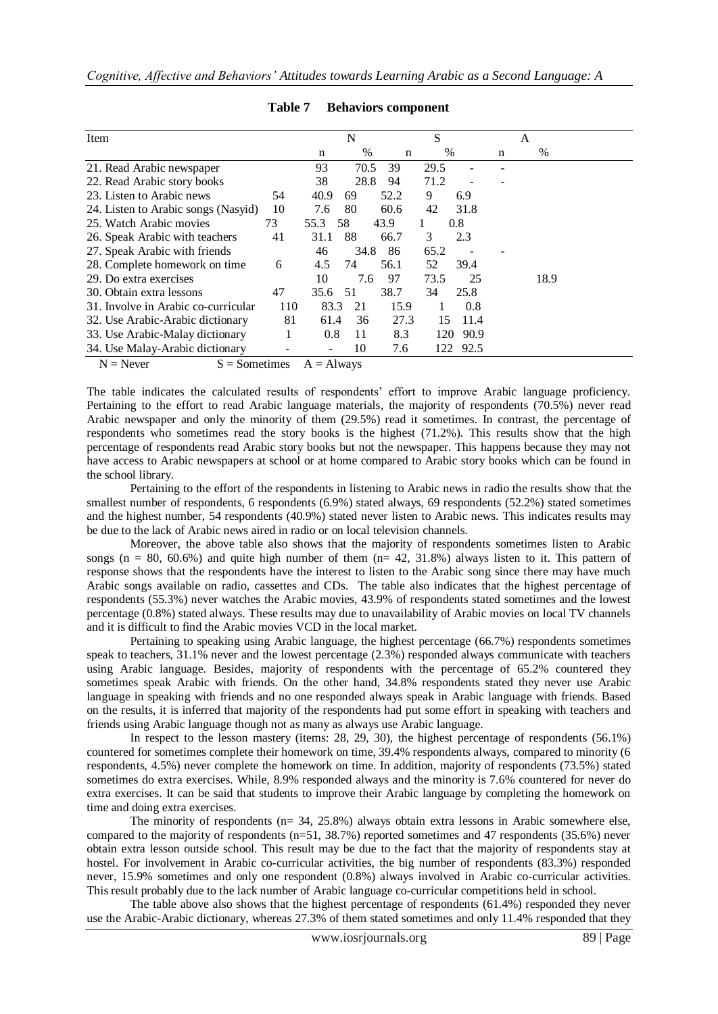| Item                                |     |      | N    |      | S    |          |   | A    |
|-------------------------------------|-----|------|------|------|------|----------|---|------|
|                                     |     | n    | %    | n    | $\%$ |          | n | %    |
| 21. Read Arabic newspaper           |     | 93   | 70.5 | 39   | 29.5 |          |   |      |
| 22. Read Arabic story books         |     | 38   | 28.8 | 94   | 71.2 |          |   |      |
| 23. Listen to Arabic news           | 54  | 40.9 | 69   | 52.2 | 9    | 6.9      |   |      |
| 24. Listen to Arabic songs (Nasyid) | 10  | 7.6  | 80   | 60.6 | 42   | 31.8     |   |      |
| 25. Watch Arabic movies             | 73  | 55.3 | 58   | 43.9 | 1    | 0.8      |   |      |
| 26. Speak Arabic with teachers      | 41  | 31.1 | 88   | 66.7 | 3    | 2.3      |   |      |
| 27. Speak Arabic with friends       |     | 46   | 34.8 | 86   | 65.2 |          |   |      |
| 28. Complete homework on time       | 6   | 4.5  | 74   | 56.1 | 52   | 39.4     |   |      |
| 29. Do extra exercises              |     | 10   | 7.6  | 97   | 73.5 | 25       |   | 18.9 |
| 30. Obtain extra lessons            | 47  | 35.6 | 51   | 38.7 | 34   | 25.8     |   |      |
| 31. Involve in Arabic co-curricular | 110 | 83.3 | 21   | 15.9 | 1    | 0.8      |   |      |
| 32. Use Arabic-Arabic dictionary    | 81  | 61.4 | 36   | 27.3 | 15   | 11.4     |   |      |
| 33. Use Arabic-Malay dictionary     |     | 0.8  | 11   | 8.3  | 120  | 90.9     |   |      |
| 34. Use Malay-Arabic dictionary     |     |      | 10   | 7.6  |      | 122 92.5 |   |      |

## **Table 7 Behaviors component**

 $N =$  Never  $S =$  Sometimes  $A =$  Always

The table indicates the calculated results of respondents" effort to improve Arabic language proficiency. Pertaining to the effort to read Arabic language materials, the majority of respondents (70.5%) never read Arabic newspaper and only the minority of them (29.5%) read it sometimes. In contrast, the percentage of respondents who sometimes read the story books is the highest (71.2%). This results show that the high percentage of respondents read Arabic story books but not the newspaper. This happens because they may not have access to Arabic newspapers at school or at home compared to Arabic story books which can be found in the school library.

Pertaining to the effort of the respondents in listening to Arabic news in radio the results show that the smallest number of respondents, 6 respondents (6.9%) stated always, 69 respondents (52.2%) stated sometimes and the highest number, 54 respondents (40.9%) stated never listen to Arabic news. This indicates results may be due to the lack of Arabic news aired in radio or on local television channels.

Moreover, the above table also shows that the majority of respondents sometimes listen to Arabic songs (n = 80, 60.6%) and quite high number of them  $(n= 42, 31.8\%)$  always listen to it. This pattern of response shows that the respondents have the interest to listen to the Arabic song since there may have much Arabic songs available on radio, cassettes and CDs. The table also indicates that the highest percentage of respondents (55.3%) never watches the Arabic movies, 43.9% of respondents stated sometimes and the lowest percentage (0.8%) stated always. These results may due to unavailability of Arabic movies on local TV channels and it is difficult to find the Arabic movies VCD in the local market.

Pertaining to speaking using Arabic language, the highest percentage (66.7%) respondents sometimes speak to teachers, 31.1% never and the lowest percentage (2.3%) responded always communicate with teachers using Arabic language. Besides, majority of respondents with the percentage of 65.2% countered they sometimes speak Arabic with friends. On the other hand, 34.8% respondents stated they never use Arabic language in speaking with friends and no one responded always speak in Arabic language with friends. Based on the results, it is inferred that majority of the respondents had put some effort in speaking with teachers and friends using Arabic language though not as many as always use Arabic language.

In respect to the lesson mastery (items: 28, 29, 30), the highest percentage of respondents (56.1%) countered for sometimes complete their homework on time, 39.4% respondents always, compared to minority (6 respondents, 4.5%) never complete the homework on time. In addition, majority of respondents (73.5%) stated sometimes do extra exercises. While, 8.9% responded always and the minority is 7.6% countered for never do extra exercises. It can be said that students to improve their Arabic language by completing the homework on time and doing extra exercises.

The minority of respondents ( $n=$  34, 25.8%) always obtain extra lessons in Arabic somewhere else, compared to the majority of respondents (n=51, 38.7%) reported sometimes and 47 respondents (35.6%) never obtain extra lesson outside school. This result may be due to the fact that the majority of respondents stay at hostel. For involvement in Arabic co-curricular activities, the big number of respondents (83.3%) responded never, 15.9% sometimes and only one respondent (0.8%) always involved in Arabic co-curricular activities. This result probably due to the lack number of Arabic language co-curricular competitions held in school.

The table above also shows that the highest percentage of respondents (61.4%) responded they never use the Arabic-Arabic dictionary, whereas 27.3% of them stated sometimes and only 11.4% responded that they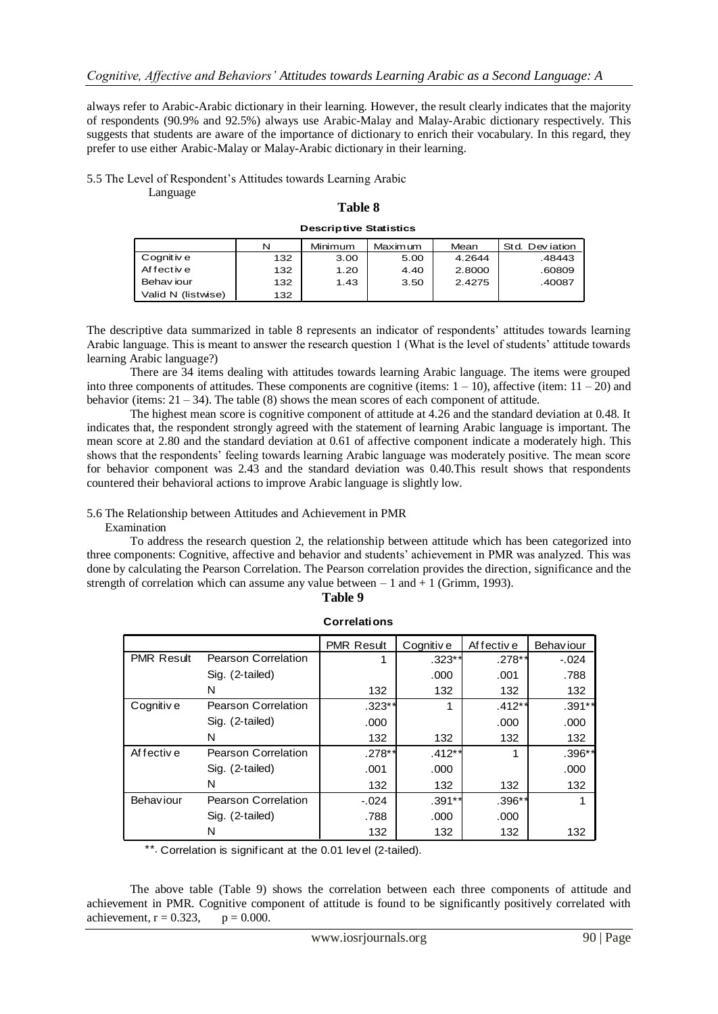always refer to Arabic-Arabic dictionary in their learning. However, the result clearly indicates that the majority of respondents (90.9% and 92.5%) always use Arabic-Malay and Malay-Arabic dictionary respectively. This suggests that students are aware of the importance of dictionary to enrich their vocabulary. In this regard, they prefer to use either Arabic-Malay or Malay-Arabic dictionary in their learning.

5.5 The Level of Respondent"s Attitudes towards Learning Arabic

Language

| <b>Descriptive Statistics</b> |  |  |  |  |  |
|-------------------------------|--|--|--|--|--|
|                               |  |  |  |  |  |

| Table 8                       |     |         |          |        |                 |  |  |  |
|-------------------------------|-----|---------|----------|--------|-----------------|--|--|--|
| <b>Descriptive Statistics</b> |     |         |          |        |                 |  |  |  |
|                               | N   | Minimum | Maxim um | Mean   | Std. Dev jation |  |  |  |
| Cognit iv e                   | 132 | 3.00    | 5.00     | 4.2644 | .48443          |  |  |  |
| Af fective                    | 132 | 1.20    | 4.40     | 2.8000 | .60809          |  |  |  |
| Behav jour                    | 132 | 1.43    | 3.50     | 2.4275 | .40087          |  |  |  |
| Valid N (listwise)            | 132 |         |          |        |                 |  |  |  |

The descriptive data summarized in table 8 represents an indicator of respondents" attitudes towards learning Arabic language. This is meant to answer the research question 1 (What is the level of students" attitude towards learning Arabic language?)

There are 34 items dealing with attitudes towards learning Arabic language. The items were grouped into three components of attitudes. These components are cognitive (items:  $1 - 10$ ), affective (item:  $11 - 20$ ) and behavior (items:  $21 - 34$ ). The table (8) shows the mean scores of each component of attitude.

The highest mean score is cognitive component of attitude at 4.26 and the standard deviation at 0.48. It indicates that, the respondent strongly agreed with the statement of learning Arabic language is important. The mean score at 2.80 and the standard deviation at 0.61 of affective component indicate a moderately high. This shows that the respondents" feeling towards learning Arabic language was moderately positive. The mean score for behavior component was 2.43 and the standard deviation was 0.40.This result shows that respondents countered their behavioral actions to improve Arabic language is slightly low.

## 5.6 The Relationship between Attitudes and Achievement in PMR

#### Examination

To address the research question 2, the relationship between attitude which has been categorized into three components: Cognitive, affective and behavior and students" achievement in PMR was analyzed. This was done by calculating the Pearson Correlation. The Pearson correlation provides the direction, significance and the strength of correlation which can assume any value between  $-1$  and  $+1$  (Grimm, 1993).

| Table 9 |
|---------|
|         |

|                   |                            | 1 avie 7            |           |            |                  |
|-------------------|----------------------------|---------------------|-----------|------------|------------------|
|                   |                            | <b>Correlations</b> |           |            |                  |
|                   |                            | <b>PMR Result</b>   | Cognitive | Af fective | <b>Behaviour</b> |
| <b>PMR Result</b> | <b>Pearson Correlation</b> | 1                   | $.323**$  | .278**     | $-.024$          |
|                   | Sig. (2-tailed)            |                     | .000      | .001       | .788             |
|                   | N                          | 132                 | 132       | 132        | 132              |
| Cognitiv e        | <b>Pearson Correlation</b> | $.323**$            | 1         | $.412**$   | $.391**$         |
|                   | Sig. (2-tailed)            | .000                |           | .000       | .000             |
|                   | N                          | 132                 | 132       | 132        | 132              |
| Af fective        | <b>Pearson Correlation</b> | $.278**$            | $.412**$  | 1          | .396**           |
|                   | Sig. (2-tailed)            | .001                | .000      |            | .000             |
|                   | N                          | 132                 | 132       | 132        | 132              |
| Behaviour         | <b>Pearson Correlation</b> | $-0.024$            | $.391**$  | $.396**$   |                  |
|                   | Sig. (2-tailed)            | .788                | .000      | .000       |                  |
|                   | N                          | 132                 | 132       | 132        | 132              |

\*\*. Correlation is significant at the 0.01 level (2-tailed).

The above table (Table 9) shows the correlation between each three components of attitude and achievement in PMR. Cognitive component of attitude is found to be significantly positively correlated with achievement,  $r = 0.323$ ,  $p = 0.000$ .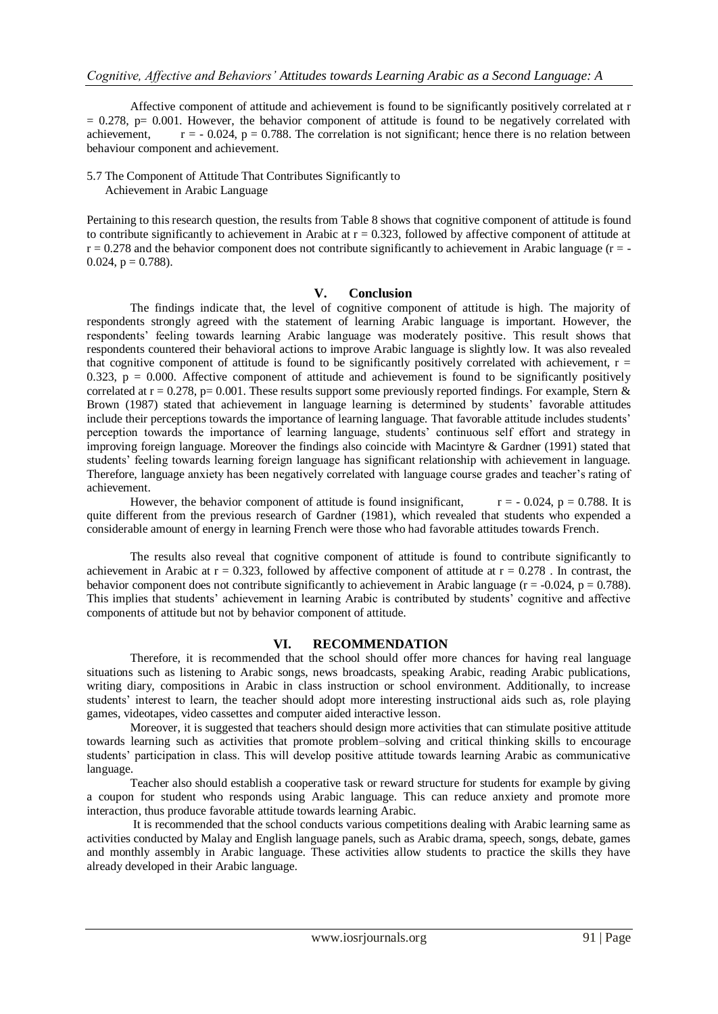Affective component of attitude and achievement is found to be significantly positively correlated at r  $= 0.278$ , p $= 0.001$ . However, the behavior component of attitude is found to be negatively correlated with achievement,  $r = -0.024$ ,  $p = 0.788$ . The correlation is not significant; hence there is no relation between behaviour component and achievement.

5.7 The Component of Attitude That Contributes Significantly to Achievement in Arabic Language

Pertaining to this research question, the results from Table 8 shows that cognitive component of attitude is found to contribute significantly to achievement in Arabic at  $r = 0.323$ , followed by affective component of attitude at  $r = 0.278$  and the behavior component does not contribute significantly to achievement in Arabic language ( $r = -$ 0.024,  $p = 0.788$ ).

#### **V. Conclusion**

The findings indicate that, the level of cognitive component of attitude is high. The majority of respondents strongly agreed with the statement of learning Arabic language is important. However, the respondents" feeling towards learning Arabic language was moderately positive. This result shows that respondents countered their behavioral actions to improve Arabic language is slightly low. It was also revealed that cognitive component of attitude is found to be significantly positively correlated with achievement,  $r =$ 0.323,  $p = 0.000$ . Affective component of attitude and achievement is found to be significantly positively correlated at  $r = 0.278$ ,  $p = 0.001$ . These results support some previously reported findings. For example, Stern & Brown (1987) stated that achievement in language learning is determined by students" favorable attitudes include their perceptions towards the importance of learning language. That favorable attitude includes students" perception towards the importance of learning language, students" continuous self effort and strategy in improving foreign language. Moreover the findings also coincide with Macintyre & Gardner (1991) stated that students" feeling towards learning foreign language has significant relationship with achievement in language. Therefore, language anxiety has been negatively correlated with language course grades and teacher's rating of achievement.

However, the behavior component of attitude is found insignificant,  $r = -0.024$ ,  $p = 0.788$ . It is quite different from the previous research of Gardner (1981), which revealed that students who expended a considerable amount of energy in learning French were those who had favorable attitudes towards French.

The results also reveal that cognitive component of attitude is found to contribute significantly to achievement in Arabic at  $r = 0.323$ , followed by affective component of attitude at  $r = 0.278$ . In contrast, the behavior component does not contribute significantly to achievement in Arabic language ( $r = -0.024$ ,  $p = 0.788$ ). This implies that students" achievement in learning Arabic is contributed by students" cognitive and affective components of attitude but not by behavior component of attitude.

#### **VI. RECOMMENDATION**

Therefore, it is recommended that the school should offer more chances for having real language situations such as listening to Arabic songs, news broadcasts, speaking Arabic, reading Arabic publications, writing diary, compositions in Arabic in class instruction or school environment. Additionally, to increase students' interest to learn, the teacher should adopt more interesting instructional aids such as, role playing games, videotapes, video cassettes and computer aided interactive lesson.

Moreover, it is suggested that teachers should design more activities that can stimulate positive attitude towards learning such as activities that promote problem–solving and critical thinking skills to encourage students" participation in class. This will develop positive attitude towards learning Arabic as communicative language.

Teacher also should establish a cooperative task or reward structure for students for example by giving a coupon for student who responds using Arabic language. This can reduce anxiety and promote more interaction, thus produce favorable attitude towards learning Arabic.

It is recommended that the school conducts various competitions dealing with Arabic learning same as activities conducted by Malay and English language panels, such as Arabic drama, speech, songs, debate, games and monthly assembly in Arabic language. These activities allow students to practice the skills they have already developed in their Arabic language.